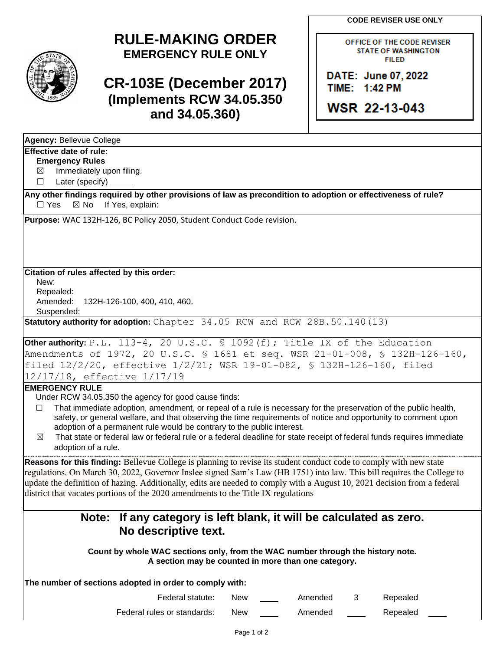**CODE REVISER USE ONLY**

## **RULE-MAKING ORDER EMERGENCY RULE ONLY**

## **CR-103E (December 2017) (Implements RCW 34.05.350 and 34.05.360)**

OFFICE OF THE CODE REVISER **STATE OF WASHINGTON FILED** 

DATE: June 07, 2022 TIME: 1:42 PM

WSR 22-13-043

| <b>Agency: Bellevue College</b>                                                                                                                                  |
|------------------------------------------------------------------------------------------------------------------------------------------------------------------|
| <b>Effective date of rule:</b>                                                                                                                                   |
| <b>Emergency Rules</b>                                                                                                                                           |
| Immediately upon filing.<br>$\boxtimes$                                                                                                                          |
| Later (specify) _____<br>$\Box$                                                                                                                                  |
| Any other findings required by other provisions of law as precondition to adoption or effectiveness of rule?<br>$\Box$ Yes<br>$\boxtimes$ No<br>If Yes, explain: |
| Purpose: WAC 132H-126, BC Policy 2050, Student Conduct Code revision.                                                                                            |
| Citation of rules affected by this order:<br>New:                                                                                                                |
| Repealed:                                                                                                                                                        |
| Amended:<br>132H-126-100, 400, 410, 460.                                                                                                                         |
| Suspended:<br>Statutory authority for adoption: Chapter 34.05 RCW and RCW 28B.50.140(13)                                                                         |
| Other authority: P.L. 113-4, 20 U.S.C. § 1092(f); Title IX of the Education                                                                                      |
| Amendments of 1972, 20 U.S.C. § 1681 et seq. WSR 21-01-008, § 132H-126-160,                                                                                      |
| filed 12/2/20, effective 1/2/21; WSR 19-01-082, \$ 132H-126-160, filed                                                                                           |
| 12/17/18, effective 1/17/19                                                                                                                                      |
| <b>EMERGENCY RULE</b>                                                                                                                                            |
| Under RCW 34.05.350 the agency for good cause finds:                                                                                                             |
| That immediate adoption, amendment, or repeal of a rule is necessary for the preservation of the public health,<br>□                                             |
| safety, or general welfare, and that observing the time requirements of notice and opportunity to comment upon                                                   |
| adoption of a permanent rule would be contrary to the public interest.                                                                                           |
| That state or federal law or federal rule or a federal deadline for state receipt of federal funds requires immediate<br>$\bowtie$                               |
| adoption of a rule.                                                                                                                                              |
|                                                                                                                                                                  |
| Reasons for this finding: Bellevue College is planning to revise its student conduct code to comply with new state                                               |
| regulations. On March 30, 2022, Governor Inslee signed Sam's Law (HB 1751) into law. This bill requires the College to                                           |
| update the definition of hazing. Additionally, edits are needed to comply with a August 10, 2021 decision from a federal                                         |
| district that vacates portions of the 2020 amendments to the Title IX regulations                                                                                |
|                                                                                                                                                                  |
| If any category is left blank, it will be calculated as zero.<br>Note:                                                                                           |
| No descriptive text.                                                                                                                                             |
| Count by whole WAC sections only, from the WAC number through the history note.<br>A section may be counted in more than one category.                           |
| The number of sections adopted in order to comply with:                                                                                                          |
| Federal statute:<br>Amended<br>Repealed<br><b>New</b><br>3                                                                                                       |

Federal rules or standards: New \_\_\_\_\_ Amended \_\_\_\_ Repealed \_